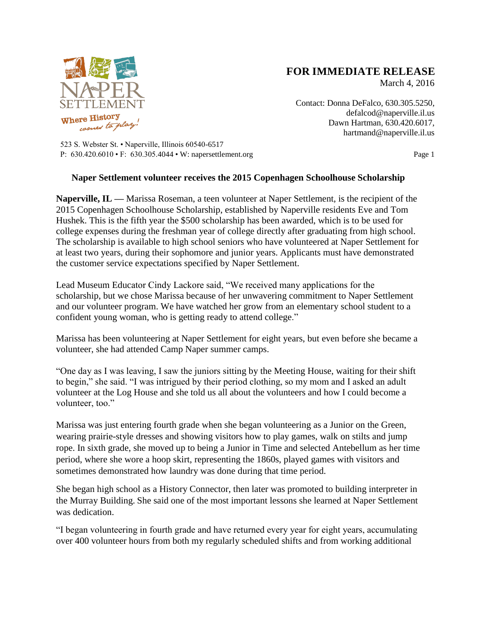

## **FOR IMMEDIATE RELEASE**

March 4, 2016

Contact: Donna DeFalco, 630.305.5250, defalcod@naperville.il.us Dawn Hartman, 630.420.6017, hartmand@naperville.il.us

523 S. Webster St. • Naperville, Illinois 60540-6517 P: 630.420.6010 • F: 630.305.4044 • W: napersettlement.org Page 1

## **Naper Settlement volunteer receives the 2015 Copenhagen Schoolhouse Scholarship**

**Naperville, IL —** Marissa Roseman, a teen volunteer at Naper Settlement, is the recipient of the 2015 Copenhagen Schoolhouse Scholarship, established by Naperville residents Eve and Tom Hushek. This is the fifth year the \$500 scholarship has been awarded, which is to be used for college expenses during the freshman year of college directly after graduating from high school. The scholarship is available to high school seniors who have volunteered at Naper Settlement for at least two years, during their sophomore and junior years. Applicants must have demonstrated the customer service expectations specified by Naper Settlement.

Lead Museum Educator Cindy Lackore said, "We received many applications for the scholarship, but we chose Marissa because of her unwavering commitment to Naper Settlement and our volunteer program. We have watched her grow from an elementary school student to a confident young woman, who is getting ready to attend college."

Marissa has been volunteering at Naper Settlement for eight years, but even before she became a volunteer, she had attended Camp Naper summer camps.

"One day as I was leaving, I saw the juniors sitting by the Meeting House, waiting for their shift to begin," she said. "I was intrigued by their period clothing, so my mom and I asked an adult volunteer at the Log House and she told us all about the volunteers and how I could become a volunteer, too."

Marissa was just entering fourth grade when she began volunteering as a Junior on the Green, wearing prairie-style dresses and showing visitors how to play games, walk on stilts and jump rope. In sixth grade, she moved up to being a Junior in Time and selected Antebellum as her time period, where she wore a hoop skirt, representing the 1860s, played games with visitors and sometimes demonstrated how laundry was done during that time period.

She began high school as a History Connector, then later was promoted to building interpreter in the Murray Building. She said one of the most important lessons she learned at Naper Settlement was dedication.

"I began volunteering in fourth grade and have returned every year for eight years, accumulating over 400 volunteer hours from both my regularly scheduled shifts and from working additional